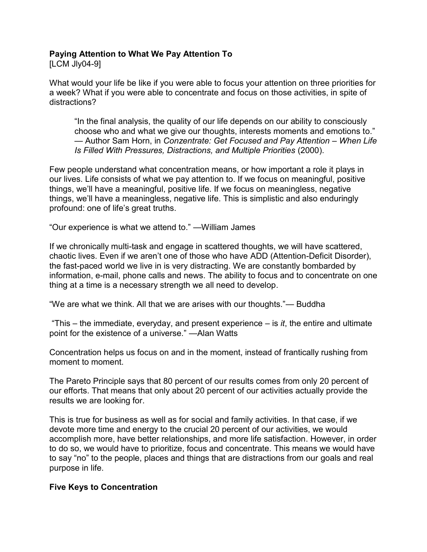## **Paying Attention to What We Pay Attention To**

[LCM Jly04-9]

What would your life be like if you were able to focus your attention on three priorities for a week? What if you were able to concentrate and focus on those activities, in spite of distractions?

"In the final analysis, the quality of our life depends on our ability to consciously choose who and what we give our thoughts, interests moments and emotions to." — Author Sam Horn, in *Conzentrate: Get Focused and Pay Attention – When Life Is Filled With Pressures, Distractions, and Multiple Priorities* (2000).

Few people understand what concentration means, or how important a role it plays in our lives. Life consists of what we pay attention to. If we focus on meaningful, positive things, we'll have a meaningful, positive life. If we focus on meaningless, negative things, we'll have a meaningless, negative life. This is simplistic and also enduringly profound: one of life's great truths.

"Our experience is what we attend to." —William James

If we chronically multi-task and engage in scattered thoughts, we will have scattered, chaotic lives. Even if we aren't one of those who have ADD (Attention-Deficit Disorder), the fast-paced world we live in is very distracting. We are constantly bombarded by information, e-mail, phone calls and news. The ability to focus and to concentrate on one thing at a time is a necessary strength we all need to develop.

"We are what we think. All that we are arises with our thoughts."— Buddha

"This  $-$  the immediate, everyday, and present experience  $-$  is *it*, the entire and ultimate point for the existence of a universe." —Alan Watts

Concentration helps us focus on and in the moment, instead of frantically rushing from moment to moment.

The Pareto Principle says that 80 percent of our results comes from only 20 percent of our efforts. That means that only about 20 percent of our activities actually provide the results we are looking for.

This is true for business as well as for social and family activities. In that case, if we devote more time and energy to the crucial 20 percent of our activities, we would accomplish more, have better relationships, and more life satisfaction. However, in order to do so, we would have to prioritize, focus and concentrate. This means we would have to say "no" to the people, places and things that are distractions from our goals and real purpose in life.

## **Five Keys to Concentration**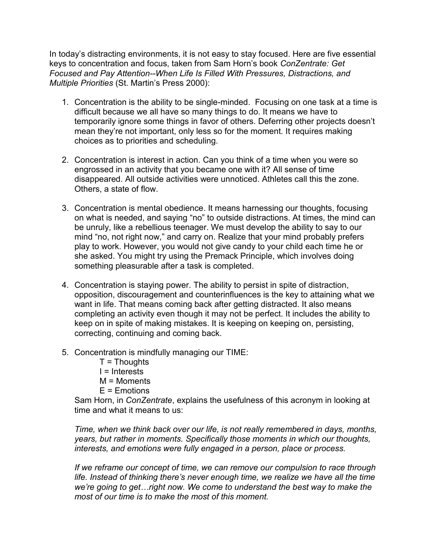In today's distracting environments, it is not easy to stay focused. Here are five essential keys to concentration and focus, taken from Sam Horn's book *ConZentrate: Get Focused and Pay Attention--When Life Is Filled With Pressures, Distractions, and Multiple Priorities* (St. Martin's Press 2000):

- 1. Concentration is the ability to be single-minded. Focusing on one task at a time is difficult because we all have so many things to do. It means we have to temporarily ignore some things in favor of others. Deferring other projects doesn't mean they're not important, only less so for the moment. It requires making choices as to priorities and scheduling.
- 2. Concentration is interest in action. Can you think of a time when you were so engrossed in an activity that you became one with it? All sense of time disappeared. All outside activities were unnoticed. Athletes call this the zone. Others, a state of flow.
- 3. Concentration is mental obedience. It means harnessing our thoughts, focusing on what is needed, and saying "no" to outside distractions. At times, the mind can be unruly, like a rebellious teenager. We must develop the ability to say to our mind "no, not right now," and carry on. Realize that your mind probably prefers play to work. However, you would not give candy to your child each time he or she asked. You might try using the Premack Principle, which involves doing something pleasurable after a task is completed.
- 4. Concentration is staying power. The ability to persist in spite of distraction, opposition, discouragement and counterinfluences is the key to attaining what we want in life. That means coming back after getting distracted. It also means completing an activity even though it may not be perfect. It includes the ability to keep on in spite of making mistakes. It is keeping on keeping on, persisting, correcting, continuing and coming back.
- 5. Concentration is mindfully managing our TIME:
	- $T = Th$ oughts I = Interests M = Moments E = Emotions

Sam Horn, in *ConZentrate*, explains the usefulness of this acronym in looking at time and what it means to us:

*Time, when we think back over our life, is not really remembered in days, months, years, but rather in moments. Specifically those moments in which our thoughts, interests, and emotions were fully engaged in a person, place or process.* 

*If we reframe our concept of time, we can remove our compulsion to race through life. Instead of thinking there's never enough time, we realize we have all the time we're going to get…right now. We come to understand the best way to make the most of our time is to make the most of this moment.*